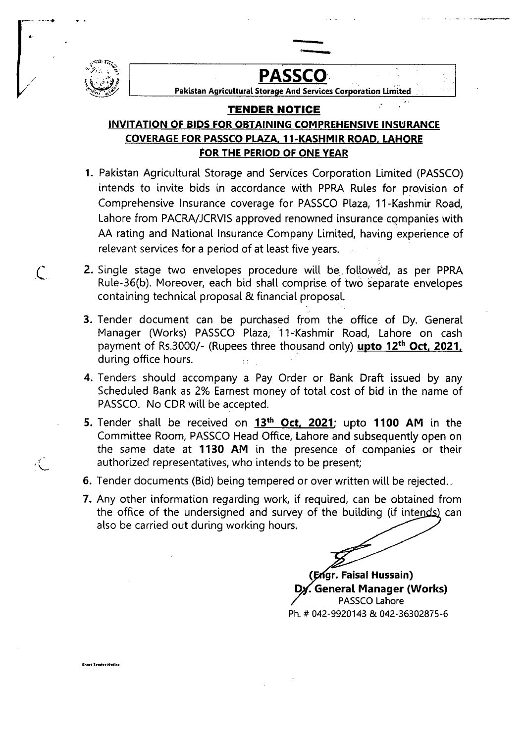

Short Tender Notice

..\_.- ..

 $\mathcal{L}$ 

 $\mathcal{L}$ 

# / **PASSCO**

Pakistan Agricultural Storage And Services Corporation Limited

..

## **TENDER NOTICE**

### INVITATION OF BIDS FOR OBTAINING COMPREHENSIVE INSURANCE COVERAGE FOR PASSCO PLAZA, 11-KASHMIR ROAD. LAHORE FOR THE PERIOD OF ONE YEAR

- 1. Pakistan Agricultural Storage and Services Corporation Limited (PASSCO) intends to invite bids in accordance with PPRA Rules for provision of Comprehensive Insurance coverage for PASSCO Plaza, 11-Kashmir Road, Lahore from PACRA/JCRVIS approved renowned insurance companies with AA rating and National Insurance Company Limited, having experience of relevant services for a period of at least five years.
- 2. Single stage two envelopes procedure will be followed, as per PPRA Rule-36(b). Moreover, each bid shall comprise.of two separate envelopes containing technical proposal & financial proposal.
- 3. Tender document can be purchased from the office of Dy. General Manager (Works) PASSCO Plaza; 11-Kashmir Road, Lahore on cash payment of Rs.3000/- (Rupees three thousand only) upto 12<sup>th</sup> Oct, 2021, during office hours.
- 4. Tenders should accompany a Pay Order or Bank Draft issued by any Scheduled Bank as 2% Earnest money of total cost of bid in the name of PASSCO. No CDR will be accepted.
- 5. Tender shall be received on 13<sup>th</sup> Oct, 2021; upto 1100 AM in the Committee Room, PASSCO Head Office, Lahore and subsequently open on the same date at 1130 AM in the presence of companies or their authorized representatives, who intends to be present;
- 6, Tender documents (Bid) being tempered or over written will be rejected.,
- 7. Any other information regarding work, if required, can be obtained from the office of the undersigned and survey of the building (if intends) can also be carried out during working hours.

( gr. Faisal Hussain) • General Manager (Works) PASSCO Lahore Ph. # 042-9920143 & 042-36302875-6